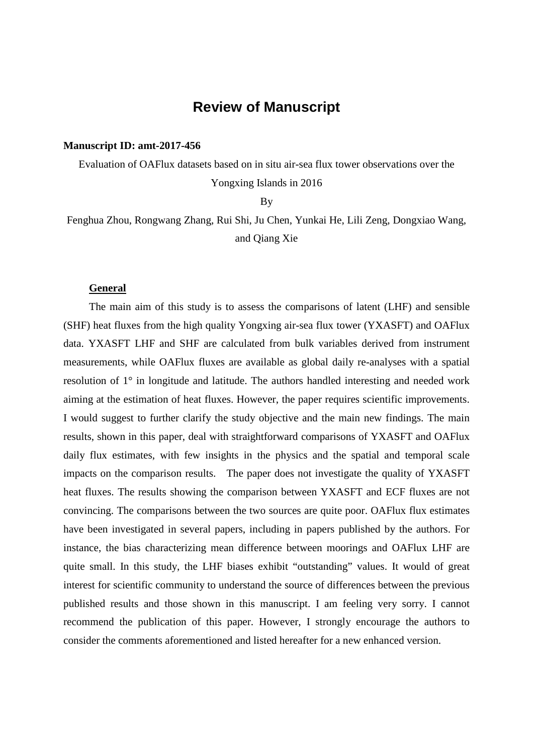## **Review of Manuscript**

## **Manuscript ID: amt-2017-456**

Evaluation of OAFlux datasets based on in situ air-sea flux tower observations over the Yongxing Islands in 2016

By

Fenghua Zhou, Rongwang Zhang, Rui Shi, Ju Chen, Yunkai He, Lili Zeng, Dongxiao Wang, and Qiang Xie

## **General**

The main aim of this study is to assess the comparisons of latent (LHF) and sensible (SHF) heat fluxes from the high quality Yongxing air-sea flux tower (YXASFT) and OAFlux data. YXASFT LHF and SHF are calculated from bulk variables derived from instrument measurements, while OAFlux fluxes are available as global daily re-analyses with a spatial resolution of 1° in longitude and latitude. The authors handled interesting and needed work aiming at the estimation of heat fluxes. However, the paper requires scientific improvements. I would suggest to further clarify the study objective and the main new findings. The main results, shown in this paper, deal with straightforward comparisons of YXASFT and OAFlux daily flux estimates, with few insights in the physics and the spatial and temporal scale impacts on the comparison results. The paper does not investigate the quality of YXASFT heat fluxes. The results showing the comparison between YXASFT and ECF fluxes are not convincing. The comparisons between the two sources are quite poor. OAFlux flux estimates have been investigated in several papers, including in papers published by the authors. For instance, the bias characterizing mean difference between moorings and OAFlux LHF are quite small. In this study, the LHF biases exhibit "outstanding" values. It would of great interest for scientific community to understand the source of differences between the previous published results and those shown in this manuscript. I am feeling very sorry. I cannot recommend the publication of this paper. However, I strongly encourage the authors to consider the comments aforementioned and listed hereafter for a new enhanced version.